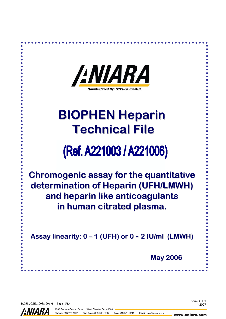| <i><b>ANIARA</b></i><br><b>Manufactured By: HYPHEN BioMed</b> |
|---------------------------------------------------------------|
| <b>BIOPHEN Heparin</b><br><b>Technical File</b>               |

# (Ref. A221003 / A221006)

Chromogenic assay for the quantitative determination of Heparin (UFH/LMWH) and heparin like anticoagulants in human citrated plasma.

Assay linearity:  $0 - 1$  (UFH) or  $0 - 2$  IU/ml (LMWH)

May 2006

D.750.30/BI/1003/1006 /1 - Page 1/13



7768 Service Center Drive · West Chester OH 45069 Toll Free: 866.783.3797 Phone: 513.770.1991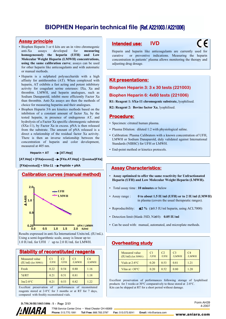#### **Assay principle**

- Biophen Heparin 3 or 6 kits are an in vitro chromogenic anti-Xa assays developed for measuring homogeneously the heparin (UFH) and Low Molecular Weight Heparin (LMWH) concentrations, using the same calibration curve; assays can be used for other heparin like anticoagulants and with automatic or manual methods.
- Heparin is a sulphated polysaccharide with a high affinity for antithrombin (AT). When complexed with heparin, AT exhibits a fast acting and potent inhibitory activity for coagulant serine esterases: IXa, Xa and thrombin. LMWH, and heparin analogues, such as Sodium Danaparoïd, inhibit more efficiently Factor Xa than thrombin. Anti-Xa assays are then the methods of choice for measuring heparins and their analogues.
- Biophen Heparin 3/6 are kinetics methods based on the inhibition of a constant amount of factor Xa, by the tested heparin, in presence of endogenous AT, and hydrolysis of a Factor Xa specific chromogenic substrate (SXa-11), by Factor Xa in excess. pNA is then released from the substrate. The amount of pNA released is a direct a relationship of the residual factor Xa activity. There is then an inverse relationship between the concentration of heparin and color development, measured at 405 nm.

Heparin + AT → [AT.Hep]

**[AT.Hep] + [FXa(excess)] [FXa.AT.Hep] + [(residual)FXa]**

[FXa(residual)] + SXa-11 → Peptide + pNA



Results expressed in anti-Xa International Units/mL (IU/mL). Using a semi-logarithmic scale, assay is linear up to: 1.0 IU/mL for UFH / up to 2.0 IU/mL for LMWH.

| <b>Stability of reconstituted reagents</b> |                        |                        |                         |                         |  |  |  |  |  |
|--------------------------------------------|------------------------|------------------------|-------------------------|-------------------------|--|--|--|--|--|
| Measured value<br>$(IU/ml)$ (lot 50901)    | C <sub>1</sub><br>/UFH | C <sub>2</sub><br>/UFH | C <sub>3</sub><br>/LMWH | C <sub>4</sub><br>/LMWH |  |  |  |  |  |
| Fresh                                      | 0.22                   | 0.54                   | 0.80                    | 1.16                    |  |  |  |  |  |
| 7d/RT                                      | 0.21                   | 0.51                   | 0.81                    | 1.18                    |  |  |  |  |  |
| $3m/2-8°C$                                 | 0.21                   | 0.53                   | 0.82                    | 1.22                    |  |  |  |  |  |

Excellent preservation of performances of reconstituted reagents stored at 2-8°C for 3 months or at RT for 7 days, compared with freshly reconstituted vials.

# Intended use: IVD

 $\epsilon$ 

Heparin and heparin like anticoagulants are currently used for curative or preventive indications. Measuring the heparin concentration in patients' plasma allows monitoring the therapy and adjusting drug dosage.

#### **Kit presentations:**

Biophen Heparin 3: 3 x 30 tests (221003)

#### Biophen Heparin 6: 4x60 tests (221006)

R1: Reagent 1: SXa-11 chromogenic substrate, lyophilised.

R2: Reagent 2: Bovine factor Xa, lyophilised.

#### Procedure:

- Specimen: citrated human plasma.
- Plasma Dilution: diluted 1:2 with physiological saline.
- Calibration: Plasma Calibrators with a known concentration of UFH, LMWH or Sodium Danaparoïd, duly validated against International Standards (NIBSC) for UFH or LMWH.
- End-point method or kinetics protocols.

### **Assay Characteristics:**

- Assay optimised to offer the same reactivity for Unfractionated Heparin (UFH) and Low Molecular Weight Heparin (LMWH).
- Total assay time : 10 minutes or below
- Assay range : 0 to about 1.5 IU/ml (UFH) or to 2 IU/ml (LMWH) in plasma (covers the usual therapeutic ranges).
- Reproducibility:  $\leq 2\%$  ( $\geq 0.5$  IU/ml heparin, using ACL7000)
- Detection limit (blank-3SD, N≥10): 0.05 IU/ml
- Can be used with: manual, automated, and microplate methods.

# **Overheating study**

| Measured value<br>$(IU/ml)$ (lot 50901) | <b>/UFH</b> | C <sub>2</sub><br>/UFH | C <sub>3</sub><br>/LMWH | C <sub>4</sub><br><b>ILMWH</b> |
|-----------------------------------------|-------------|------------------------|-------------------------|--------------------------------|
| Vials at $2-8$ <sup>o</sup> C           | 0.20        | 0.53                   | 0.81                    | 1 21                           |
| Vilas at $+30^{\circ}$ C                | 0.20        | 0,52                   | 0.80                    | 1 20                           |

Excellent preservation of performances following storage of lyophilised products for 3 weeks at 30°C comparatively to those stored at 2-8°C. Kits can be shipped at RT for a short period without damage.

> Form AH39 4-2007



7768 Service Center Drive · West Chester OH 45069 Phone: 513.770.1991 Toll Free: 866, 783, 3797

Fax: 513.573.9241 Email: info@aniara.com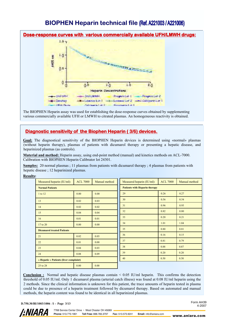

The BIOPHEN Heparin assay was used for establishing the dose-response curves obtained by supplementing various commercially available UFH or LMWH to citrated plasmas. An homogeneous reactivity is obtained.

# Diagnostic sensitivity of the Biophen Heparin ( 3/6) devices.

Goal: The diagnostical sensitivity of the BIOPHEN Heparin devices is determined using «normal» plasmas (without heparin therapy), plasmas of patients with dicumarol therapy or presenting a hepatic disease, and heparinized plasmas (as controls).

Material and method: Heparin assay, using end-point method (manual) and kinetics methods on ACL-7000. Calibration with BIOPHEN Heparin Calibrator lot 24301.

Samples: 20 normal plasmas ; 11 plasmas from patients with dicumarol therapy ; 4 plasmas from patients with hepatic disease ; 12 heparinized plasmas.

| <b>Results:</b> |                                        |                 |               |                                      |                 |               |  |  |  |
|-----------------|----------------------------------------|-----------------|---------------|--------------------------------------|-----------------|---------------|--|--|--|
|                 | Measured heparin (IU/ml):              | <b>ACL 7000</b> | Manual method | Measured heparin (IU/ml):            | <b>ACL 7000</b> | Manual method |  |  |  |
|                 | <b>Normal Patients</b>                 |                 |               | <b>Patients with Heparin therapy</b> |                 |               |  |  |  |
|                 | 1 to 12                                | 0.00            | 0.00          | 29                                   | 0.26            | 0.27          |  |  |  |
|                 | 13                                     | 0.02            | 0.03          | 30                                   | 0.56            | 0.54          |  |  |  |
|                 | 14                                     | 0.02            | 0.02          | 31                                   | 0.96            | 0.95          |  |  |  |
|                 | 15                                     | 0.04            | 0.04          | 32                                   | 0.82            | 0.80          |  |  |  |
|                 | 16                                     | 0.01            | 0.01          | 33                                   | 0.20            | 0.21          |  |  |  |
|                 | 17 to 20                               | 0.00            | 0.00          | 34                                   | 1.01            | 1.04          |  |  |  |
|                 | <b>Dicumarol treated Patients</b>      |                 |               | 35                                   | 0.80            | 0.81          |  |  |  |
|                 | 21                                     | 0.02            | 0.03          | 36                                   | 0.16            | 0.15          |  |  |  |
|                 | 22                                     | 0.01            | 0.00          | 37                                   | 0.81            | 0.79          |  |  |  |
|                 | 23                                     | 0.04            | 0.03          | 38                                   | 0.88            | 0.87          |  |  |  |
|                 | 24                                     | 0.08            | 0.09          | 39                                   | 0.20            | 0.20          |  |  |  |
|                 | « Hepatic » Patients (liver complaint) |                 |               | 40                                   | 0.50            | 0.50          |  |  |  |
|                 | 25 to 28                               | 0.00            | 0.00          |                                      |                 |               |  |  |  |

**Conclusion :** Normal and hepatic disease plasmas contain  $\leq 0.05$  IU/ml heparin. This confirms the detection threshold of 0.05 IU/ml. Only 1 dicumarol plasma (arterial catch illness) was found at 0.08 IU/ml heparin using the 2 methods. Since the clinical information is unknown for this patient, the trace amounts of heparin tested in plasma could be due to presence of a heparin treatment followed by dicumarol therapy. Based on automated and manual methods, the heparin content was found to be identical in all heparinized plasmas.

D.750.30/BI/1003/1006 /1 - Page 3/13

Form AH39 4-2007



7768 Service Center Drive · West Chester OH 45069 Fax: 513.573.9241 Email: info@aniara.com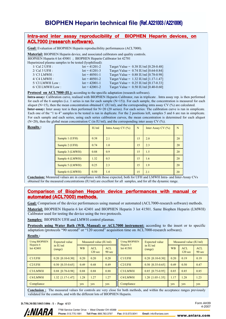### Intra-and inter assay reproducibility of BIOPHEN Heparin devices, on ACL7000 (research software).

Goal: Evaluation of BIOPHEN Heparin reproducibility performances (ACL7000).

Material: BIOPHEN Heparin device, and associated calibrators and quality controls.

BIOPHEN Heparin 6 lot 45001 ; BIOPHEN Heparin Calibrator lot 42701

Heparinized plasma samples to be tested (lyophilised):

| $1/Cal$ 2 UFH :     | $\text{lot} = 41201 - 2$ | Target Value = $0.38$ IU/ml [0.28-0.48] |
|---------------------|--------------------------|-----------------------------------------|
| $2/Cal$ 3 UFH :     | $\text{lot} = 41201 - 3$ | Target Value = $0.74$ IU/ml [0.64-0.84] |
| $3/C3$ LMWH :       | $\text{lot} = 40501 - 1$ | Target Value = $0.88$ IU/ml [0.78-0.98] |
| $4/C4$ LMWH :       | $\text{lot} = 40501 - 2$ | Target Value = $1.32$ IU/ml [1.17-1.47] |
| 5/ CI LMWH Low:     | $\text{lot} = 42001 - 1$ | Target Value = $0.25$ IU/ml [0.17-0.33] |
| $6/$ CII LMWH Low : | $\text{lot} = 42001 - 2$ | Target Value = $0.50$ IU/ml [0.40-0.60] |

Protocol on ACL7000 (IL): according to the specific adaptation (research software).

Intra-assay: Calibration curve, realised with BIOPHEN Heparin Calibrator, run in triplicate . Intra assay rep. is then performed for each of the 6 samples (i.e. 1 series is run for each sample  $(N=15)$ ). For each sample, the concentration is measured for each aliquot (N=15), then the mean concentration obtained C (IU/ml), and the corresponding intra assay CV (%) are calculated. Inter-assay: Inter assay test is then performed for N=20 (20 series). For each series: The calibration curve is run in simplicate.

Each one of the "1 to 4" samples to be tested is run in duplicate. For the 2 positions left, samples 5 and 6 are run in simplicate. For each sample and each series, using each series calibration curves, the mean concentration is determined for each aliquot (N=20), then the global mean concentration C (in IU/ml), and the corresponding inter assay CV (%).

| <b>Results:</b> |                 | IU/ml | Intra Assay CV $(%)$ | N  | Inter Assay CV $(\% )$ | N  |
|-----------------|-----------------|-------|----------------------|----|------------------------|----|
|                 | Sample 1 (UFH)  | 0.38  | 2.1                  | 15 | 2.0                    | 20 |
|                 | Sample 2 (UFH)  | 0.74  | 1.0                  | 15 | 2.3                    | 20 |
|                 | Sample 3 (LMWH) | 0.88  | 0.9                  | 15 | 1.5                    | 20 |
|                 | Sample 4 (LMWH) | 1.32  | 0.5                  | 15 | 1.6                    | 20 |
|                 | Sample 5 (LMWH) | 0.25  | 2.3                  | 15 | 1.9                    | 20 |
|                 | Sample 6 (LMWH) | 0.50  | 1.4                  | 15 | 2.1                    | 20 |

Conclusion: Measured values are in compliance with those expected, both for UFH and LMWH Intra- and Inter-Assay CVs obtained for the measured concentrations (IU/ml) are excellent for all samples, and for all the dynamic range.

### Comparison of Biophen Heparin device performances with manual or automated (ACL7000) methods.

Goal: Comparison of the device performances using manual or automated (ACL7000-research software) methods. Material: BIOPHEN Heparin 6 lot 42401 and BIOPHEN Heparin 3 lot 41501. Same Biophen Heparin (LMWH) Calibrator used for testing the device using the two protocols.

Samples: BIOPHEN UFH and LMWH control plasmas.

Protocols using Water Bath (WB, Manual) or ACL7000 instrument: according to the insert or to specific adaptation (protocols "90 second" or "120 second" acquisition time on ACL7000-research software). Results :

| <b>Using BIOPHEN</b>   | <b>Expected value</b>              | Measured value (IU/ml) |                                  |                                | <b>Using BIOPHEN</b><br>Heparin 3 | <b>Expected value</b>              | Measured value (IU/ml) |                                 |                      |
|------------------------|------------------------------------|------------------------|----------------------------------|--------------------------------|-----------------------------------|------------------------------------|------------------------|---------------------------------|----------------------|
| Heparin 6<br>lot 42401 | in $\text{H}\text{U/m}$<br>(range) | <b>WB</b>              | <b>ACL</b><br>120 <sub>sec</sub> | <b>ACL</b><br>$90 \text{ sec}$ | lot41501                          | in $\text{H}\text{U/m}$<br>(range) | <b>WB</b>              | <b>ACL</b><br>$120 \text{ sec}$ | <b>ACL</b><br>90 sec |
| C1/UFH                 | $0.20$ [0.10-0.30]                 | 0.20                   | 0.20                             | 0.20                           | C1/UFH                            | $0.20$ [0.10-0.30]                 | 0.20                   | 0.19                            | 0.19                 |
| C2/IFH                 | $0.50$ $[0.35-0.65]$               | 0.49                   | 0.48                             | 0.49                           | C2/IFH                            | $0.50$ $[0.35-0.65]$               | 0.49                   | 0.50                            | 0.47                 |
| C3/LMWH                | $0.88$ [0.78-0.98]                 | 0.88                   | 0.88                             | 0.88                           | C3/LMWH                           | $0.85$ [0.75-0.95]                 | 0.85                   | 0.85                            | 0.85                 |
| C4/LMWH                | 1.32 [1.17-1.47]                   | 1.28                   | 1.27                             | 1.27                           | C4/LMWH                           | $1.20$ $[1.05 - 1.35]$             | 1.17                   | 1.28                            | 1.23                 |
| Compliance             |                                    | yes                    | yes                              | yes                            | Compliance                        |                                    | yes                    | yes                             | yes                  |

**Conclusion :** The measured values for controls are very close for both methods, and within the acceptance ranges previously validated for the controls, and with the different lots of BIOPHEN Heparin.

#### D.750.30/BI/1003/1006 /1 - Page 4/13



www.aniara.com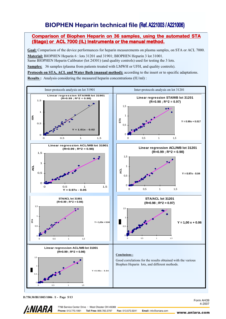### Comparison of Biophen Heparin on 36 samples, using the automated STA (Stago) or ACL 7000 (IL) Instruments or the manual method.

Goal: Comparison of the device performances for heparin measurements on plasma samples, on STA or ACL 7000. Material: BIOPHEN Heparin 6 : lots 31201 and 31901; BIOPHEN Heparin 3 lot 31001.

Same BIOPHEN Heparin Calibrator (lot 24301) (and quality controls) used for testing the 3 lots.

Samples: 36 samples (plasma from patients treated with LMWH or UFH, and quality controls).

Protocols on STA, ACL and Water Bath (manual method): according to the insert or to specific adaptations. Results : Analysis considering the measured heparin concentrations (IU/ml) :



D.750.30/BI/1003/1006 /1 - Page 5/13

*LNIARA* 

www.aniara.com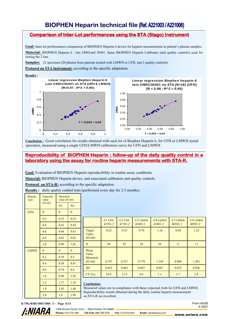## Comparison of Inter-Lot performances using the STA ( Stago) Instrument

Goal: Inter-lot performances comparison of BIOPHEN Heparin 6 device for heparin measurements in patient's plasma samples. Material: BIOPHEN Heparin 6 : lots 24801and 30401. Same BIOPHEN Heparin Calibrator (and quality controls) used for testing the 2 lots.

Samples: 22 specimen (20 plasma from patients treated with LMWH or UFH, and 2 quality controls).

Protocol on STA instrument: according to the specific adaptation.

#### Results :



Conclusion : Good correlation for results obtained with each lot of Biophen Heparin 6, for UFH or LMWH tested specimen, measured using a single UFH/LMWH calibration curve for UFH and LMWH.

# Reproducibility of BIOPHEN Heparin : follow-up of the daily quality control in a laboratory using the assay for routine heparin measurements with STA-R.

Goal: Evaluation of BIOPHEN Heparin reproducibility in routine assay conditions.

Material: BIOPHEN Heparin device, and associated calibrators and quality controls.

**Protocol on STA-R:** according to the specific adaptation.

Results : daily quality control tests (performed every day for 2.5 months).

| Heparin<br>type | Expected<br>value | Measured<br>value (IU/ml) |                |  |
|-----------------|-------------------|---------------------------|----------------|--|
|                 | (IU/ml)           | N1                        | N2             |  |
| <b>UFH</b>      | $\overline{0}$    | $\overline{0}$            | $\overline{0}$ |  |
|                 | 0.2               | 0.22                      | 0.23           |  |
|                 | 0.4               | 0.41                      | 0.42           |  |
|                 | 0.6               | 0.64                      | 0.61           |  |
|                 | 0.8               | 0.83                      | 0.82           |  |
|                 | 1.0               | 0.99                      | 1.01           |  |
| <b>LMWH</b>     | $\overline{0}$    | $\theta$                  | $\overline{0}$ |  |
|                 | 0.2               | 0.19                      | 0.2            |  |
|                 | 0.4               | 0.38                      | 0.41           |  |
|                 | 0.8               | 0.79                      | 0.8            |  |
|                 | 1.0               | 0.99                      | 1.05           |  |
|                 | 1.2               | 1.17                      | 1.18           |  |
|                 | 1.8               | 1.83                      | 1.86           |  |
|                 | 2.0               | 1.9                       | 1.99           |  |

|                                      | C1 UFH<br>$41701 - 1$ | C <sub>2</sub> UFH<br>41701-2 | C3 LMWH<br>$41801 - 1$ | <b>C4 LMWH</b><br>41801-2 | C3 LMWH<br>$40501 - 1$ | C4 LMWH<br>40501-2 |
|--------------------------------------|-----------------------|-------------------------------|------------------------|---------------------------|------------------------|--------------------|
| Target<br>Value<br>(IU/ml)           | 0.22                  | 0.53                          | 0.78                   | 1.16                      | 0.88                   | 1.32               |
| N                                    | 66                    | 67                            | 54                     | 56                        | 11                     | 11                 |
| Mean<br>Value<br>Measured<br>(IU/ml) | 0.197                 | 0.527                         | 0.779                  | 1.149                     | 0.860                  | 1.203              |
| <b>SD</b>                            | 0.033                 | 0.063                         | 0.047                  | 0.081                     | 0.032                  | 0.028              |
| CV(%)                                | 16.8                  | 11.9                          | 6.0                    | 7.1                       | 3.7                    | 2.4                |
|                                      |                       |                               |                        |                           |                        |                    |

#### Conclusion:

Measured values are in compliance with those expected, both for UFH and LMWH. Reproducibility results obtained during the daily routine heparin measurement on STA-R are excellent.

# D.750.30/BI/1003/1006 /1 - Page 6/13 Form AH39



Email: info@aniara.com

www.aniara.com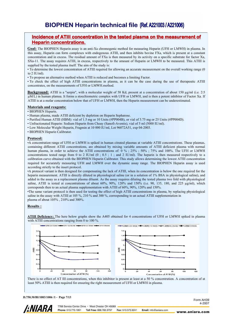# Incidence of ATIII concentration in the tested plasma on the measurement of Heparin concentrations.

Goal: The BIOPHEN Heparin assay is an anti-Xa chromogenic method for measuring Heparin (UFH or LMWH) in plasma. In this assay, Heparin can form complexes with endogenous ATIII, and then inhibits bovine FXa, which is present at a constant concentration and in excess. The residual amount of FXa is then measured by its activity on a specific substrate for factor Xa, SXa-11. The assay requires ATIII, in excess, respectively to the amount of Heparin or LMWH to be measured. This ATIII is supplied by the tested plasma itself. The aim of the study is:

• To determine the lowest concentration of ATIII required for allowing an accurate measurement on the overall working range (0 to 2 IU/ml).

• To propose an alternative method when ATIII is reduced and becomes a limiting Factor.

• To check the effect of high ATIII concentrations in plasma, as it can be the case during the use of therapeutic ATIII concentrates, on the measurements of UFH or LMWH.method.

**Background:** ATIII is a "serpin", with a molecular weight of 58 Kd, present at a concentration of about 150 µg/ml (i.e. 2:5) µM/L) in human plamsa. It forms a stoechiometric complex with UFH or LMWH, and is then a potent inhibitor of Factor Xa. If ATIII is at a molar concentration below that of UFH or LMWH, then the Heparin measurement can be underestimated.

#### Materials and reagents:

• BIOPHEN Heparin.

- Human plasma, made ATIII deficient by depletion on Heparin Sepharose.
- Purified Human ATIII (HBM): vial of 1.5 mg or 10 Units (#PP004B), or vial of 3.75 mg or 25 Units (#PP004D).
- Unfractionated Heparin: Sodium Heparin from Choay (Sanofi-Aventis), vial of 5 ml (5000 IU/ml).
- Low Molecular Weight Heparin, Fragmin at 10 000 IU/ml, Lot 96072A51, exp 04-2003.
- BIOPHEN Heparin Calibrator.

#### Protocol:

•A concentration range of UFH or LMWH is spiked in human citrated plasmas at variable ATIII concentrations. These plasmas, containing different ATIII concentrations, are obtained by mixing variable amounts of ATIII deficient plasma with normal human plasma, in order to achieve the ATIII concentrations of: 0 %; 25%; 50%; 75% and 100%. The UFH or LMWH concentrations tested range from 0 to 2 IU/ml (0 ; 0.5 ; 1 ; and 2 IU/ml). The heparin is then measured respectively to a calibration curve obtained with the BIOPHEN Heparin Calibrator. This study allows determining the lowest ATIII concentration required for accurately measuring UFH and LMWH over the dynamic assay range. The BIOPHEN Heparin assay is used according strictly to the insert protocol.

•A protocol variant is then designed for compensating the lack of ATIII, when its concentration is below the one required for the heparin measurement. ATIII is directly diluted in physiological saline (or in a solution of 1% BSA in physiological saline), and added in the assay as a replacement plasma diluent. As the assay requires diluting the tested plasma two fold with physiological saline, ATIII is tested at concentrations of about 60%, 90%, 120% and 150% (i.e. 90, 135, 180, and 225 µg/ml), which corresponds then to an actual plasma supplementation with ATIII of 60%, 90%, 120% and 150%.

•The same variant protocol is then used for testing the effect of high ATIII concentrations in plasma, by replacing physiological saline in the assay with ATIII at 105 %, 210 % and 300 %, corresponding to an actual ATIII supplementation in plasma of about 105% , 210% and 300%.

#### Results :

ATIII Deficiency: The here below graphs show the A405 obtained for 4 concentrations of UFH or LMWH spiked in plasma with ATIII concentrations ranging from 0 to 100 %.



There is no effect of AT III concentrations, when this inhibitor is present at least at a 50 % concentration. A concentration of at least 50% ATIII is then required for ensuring the right measurement of UFH or LMWH in plasma.



7768 Service Center Drive · West Chester OH 45069 *LNIARA* Phone: 513.770.1991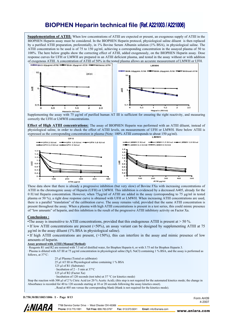Supplementation of ATIII: When low concentrations of ATIII are expected or present, an exogenous supply of ATIII in the BIOPHEN Heparin assay must be considered. In the BIOPHEN Heparin protocol, physiological saline diluent is then replaced by a purified ATIII preparation, preferentially, in 1% Bovine Serum Albumin solution (1% BSA), in physiological saline. The ATIII concentration to be used is of 75 to 150  $\mu$ g/ml, achieving a corresponding concentration in the assayed plasma of 50 to 100%. The here below graphs show the correcting effect of ATIII, added exogenously, on the BIOPHEN Heparin assay. Dose response curves for UFH or LMWH are prepared in an ATIII deficient plasma, and tested in the assay without or with addition of exogenous ATIII. A concentration of ATIII of 50% in the tested plasma allows an accurate measurement of LMWH or UFH. I MWH



Supplementing the assay with 75  $\mu$ g/ml of purified human AT III is sufficient for ensuring the right reactivity, and measuring correctly the UFH or LMWH concentrations.

**Effect of High ATIII concentrations:** The assay of BIOPHEN Heparin was performed with an ATIII diluent, instead of physiological saline, in order to check the effect of ATIII levels, on measurements of UFH or LMWH. Here below ATIII is expressed as the corresponding concentration in plasma (Note: 100% ATIII corresponds to about 150 µg/ml).



These data show that there is already a progressive inhibition (but very slow) of Bovine FXa with increasing concentrations of ATIII in the chromogenic assay of Heparin (UFH) or LMWH. This inhibition is evidenced by a decreased A405, already for the 0 IU/ml Heparin concentration. However, when 75µg/ml of ATIII are added in the assay (corresponding to 75 µg/ml in tested plasma or 50 %), a right dose response curve is obtained with UFH or LMWH. When increasing ATIII concentrations are used, there is a parallel "translation" of the calibration curve. The assay remains valid, provided that the same ATIII concentration is present throughout the assay. When a plasma with high ATIII concentrations is present in a test series, this could mimic presence of "low amounts" of heparin, and this inhibition is the result of the progressive ATIII inhibitory activity on Factor Xa.

#### Conclusions :

•The assay is insensitive to ATIII concentrations, provided that this endogenous ATIII is present at  $>$  50 %.

• If low ATIII concentrations are present (<50%), an assay variant can be designed by supplementing ATIII at 75 µg/ml in the assay diluent (1% BSA in physiological saline).

• If high ATIII concentrations are present, (>150%), this can interfere in the assay and mimic presence of low amounts of heparin.

#### Assay protocol with ATIII (Manual Method):

· Reagents R1 and R2 are restored with 7.5 ml of distilled water, for Biophen Heparin 6, or with 3.75 ml for Biophen Heparin 3.

· Plasma is diluted with AT III at 75 µg/ml concentration in physiological saline (9g/L NaCl) containing 1 % BSA, and the assay is performed as follows, at 37°C:

25 µl Plasma (Tested or calibrator)

25 µl AT III in Physiological saline containing 1 % BSA

- 125 µl of R1 (Substrate)
- · Incubation of 2 5 min at 37°C
- 125 µl of R2 (Factor Xa)
- · Incubation of 120 seconds (test tube) at 37 °C (or kinetics mode)

Stop the reaction with 300 µl of 2 % Citric Acid (or 20 % Acetic Acid); (this step is not required for the automated kinetics mode; the change in Absorbance is recorded for 40 to 120 seconds starting at 10 or 20 seconds following the assay kinetics onset).

. Read at 405 nm versus the corresponding blank (blank is not required for the kinetics mode).

D.750.30/BI/1003/1006 /1 - Page 8/13



7768 Service Center Drive · West Chester OH 45069 Phone: 513.770.1991 Toll Free: 866.783.3797 Fax: 513.573.9241

Email: info@aniara.com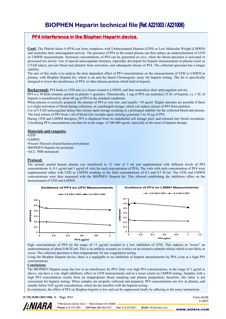### PF4 interference in the Biophen Heparin device.

Goal: The Platelet factor 4 (PF4) can form complexes with Unfractionated Heparin (UFH) or Low Molecular Weight (LMWH) and neutralize their anticoagulant activity. The presence of PF4 in the tested plasma can then induce an underestimation of UFH or LMWH measurements. Increased concentrations of PF4 can be generated ex-vivo, when the blood specimen is activated or processed too slowly. Use of special anticoagulant mixtures, especially developed for heparin measurements in plasma (such as CTAD tubes), prevent blood and platelets from activation, and subsequent release of PF4. The collected specimen has a longer stability.

The aim of this study is to analyse the dose dependent effect of PF4 concentrations on the measurements of UFH or LMWH in plasma, with Biophen Heparin kit, which is an anti-Xa based Chromogenic assay for heparin testing. The kit is specifically designed to lower the interference of PF4, or other plasma proteins which bind to heparin.

#### Background: PF4 binds to UFH and, to a lesser extend to LMWH, and then neutralizes their anticoagulant activity.

PF4 is a 30 KDa tetramer, present in platelet ∝-granules. Theoretically, 1 mg of PF4 can neutralize 25 IU of heparin, i.e. 1 IU of heparin is neutralized by about 40 µg of PF4 in the standard conditions.

When plasma is correctly prepared, the amount of PF4 is very low, and usually  $\leq 10$  ng/ml. Higher amounts are possible if there is a slight activation of blood during collection, or a prolonged storage, which can induce release of PF4 from platelets.

Use of CTAD anticoagulant delays this release upon storage resulting in a prolonged stability for the collected blood and plasma. The total release of PF4 from 1 ml of blood (for example upon clotting) generates 5 to 10 µg of PF4.

During UFH and LMWH therapies, PF4 is displaced from its endothelial cell storage pool, and released into blood circulation. Circulating PF4 concentrations can then be in the range of 100-400 ng/ml, especially at the onset of heparin therapy.

#### Materials and reagents:

•UFH

•LMWH

•Frozen-Thawed citrated human pool plasma

•BIOPHEN Heparin lot prototype •ACL 7000 instrument

# Protocol:

The normal pooled human plasma was transferred in 12 vials of 5 ml and supplemented with different levels of PF4 concentrations: 0, 0.1 µg/ml and 1 µg/ml (4 vials for each concentration of PF4). The vials with each concentration of PF4 were supplemented either with UFH or LMWH resulting in the final concentrations of 0.2 and 0.5 IU/ml. The UFH and LMWH concentrations were then measured with the BIOPHEN Heparin kit. This allowed establishing the inhibitory effect on the measurement of UFH and LMWH.



High concentrations of PF4 (in the range of  $>1 \mu g/ml$ ) resulted in a low inhibition of UFH. This induces at "worse" an underestimation of about 0.06 IU/ml. This is an unlikely scenario as it relies on an extensive platelet release which is not likely to occur. The collected specimen is then inappropriate for any coagulation testing.

Using the Biophen Heparin device, there is a negligible or no inhibition of heparin measurements by PF4, even at a high PF4 concentrations.

#### Conclusions:

The BIOPHEN Heparin assay has low or no interference by PF4. Only very high PF4 concentrations, in the range of 1 µg/ml or above, can have a very slight inhibitory effect on UFH measurements and in a lesser extent on LMWH testing. Samples with a high PF4 concentration results from an inappropriate blood sampling and plasma preparation; therefore, this latter is not convenient for heparin testing. When samples are properly collected and prepared, PF4 concentrations are low in plasma, and usually below 0.05 µg/ml concentration, which do not interfere with the heparin testing.

In conclusion, the effect of PF4 on Biophen heparin is low and can be suppressed totally by adhering to the assay instructions.

#### D.750.30/BI/1003/1006 /1 - Page 9/13



7768 Service Center Drive · West Chester OH 45069 Phone: 513.770.1991 Toll Free: 866.783.3797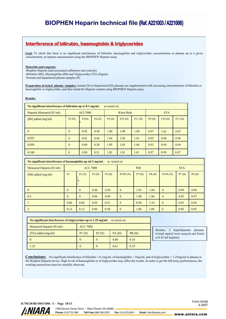# Interference of bilirubin, haemoglobin & triglycerides

Goal: To check that there is no significant interference of bilirubin, haemoglobin and triglycerides concentrations in plasma up to a given concentration, on heparin measurement using the BIOPHEN Heparin assay.

#### Materials and reagents:

-Biophen Heparin (and associated calibrators and controls). -Bilirubin (Bil), Haemoglobin (Hb) and Triglycerides (TG) (Sigma). -Normal and heparinized plasma samples (P).

Preparation of tested plasma samples: normal (N) or heparinized (H) plasmas are supplemented with increasing concentrations of bilirubin or haemoglobin or triglycerides, and then tested for Heparin content using BIOPHEN Heparin assay.

Results:

| No significant interference of bilirubin up to $0.1$ mg/ml;<br>as tested on: |                |       |       |                   |        |        |            |        |        |
|------------------------------------------------------------------------------|----------------|-------|-------|-------------------|--------|--------|------------|--------|--------|
| Heparin Measured (IU/ml):                                                    | ACL7000        |       |       | <b>Water Bath</b> |        |        | <b>STA</b> |        |        |
| [Bil] added (mg/ml)                                                          | P1/P2(         | P3(H) | P4(H) | P9(H)             | P10(H) | P11(H) | P9(H)      | P10(H) | P11(H) |
| $\mathbf{0}$                                                                 | $\overline{0}$ | 0.92  | 0.50  | 1.00              | 1.08   | 1.09   | 0.97       | 1.01   | 0.97   |
| 0.025                                                                        | $\theta$       | 0.91  | 0.48  | 1.04              | 1.05   | 1.01   | 0.95       | 0.98   | 0.98   |
| 0.050                                                                        | $\mathbf{0}$   | 0.80  | 0.50  | 1.05              | 1.05   | 1.04   | 0.93       | 0.94   | 0.94   |
| 0.100                                                                        | $\mathbf{0}$   | 0.80  | 0.51  | 1.05              | 1.01   | 1.01   | 0.97       | 0.99   | 0.97   |

| No significant interference of haemoglobin up tol $2 \text{ mg/ml}$ ; as tested on: |                |                 |       |       |              |           |       |              |            |       |  |
|-------------------------------------------------------------------------------------|----------------|-----------------|-------|-------|--------------|-----------|-------|--------------|------------|-------|--|
| Measured Heparin (IU/ml):                                                           |                | <b>ACL 7000</b> |       |       |              | <b>WB</b> |       |              | <b>STA</b> |       |  |
| [Hb] added (mg/ml)                                                                  | P <sub>1</sub> | P2(N)           | P3(H) | P4(H) | P5/P6(N)     | P7(H)     | P8(H) | P5/P6(N)     | P7(H)      | P8(H) |  |
| $\theta$                                                                            | $\Omega$       | $\theta$        | 0.96  | 0.50  | $\theta$     | 1.01      | 1.04  | $\mathbf{0}$ | 0.99       | 0.98  |  |
| 0.5                                                                                 | $\theta$       | $\theta$        | 0.96  | 0.49  | $\theta$     | 1.00      | 1.06  | $\mathbf{0}$ | 0.93       | 0.97  |  |
|                                                                                     | 0.06           | 0.04            | 0.95  | 0.51  | $\theta$     | 0.98      | 1.10  | $\mathbf{0}$ | 0.95       | 0.94  |  |
|                                                                                     | 0.12           | 0.12            | 0.96  | 0.58  | $\mathbf{0}$ | 1.00      | 1.08  | $\mathbf{0}$ | 0.90       | 0.95  |  |

| No significant interference of triglycerides up to 1.25 mg/ml; as tested on: |                                  |          |      |      |  |  |  |
|------------------------------------------------------------------------------|----------------------------------|----------|------|------|--|--|--|
| Measured Heparin (IU/ml):                                                    | <b>ACL 7000</b>                  |          |      |      |  |  |  |
| $[TG]$ added $(mg/ml)$                                                       | P2(N)<br>PA(H)<br>P1(N)<br>PB(H) |          |      |      |  |  |  |
|                                                                              | $\theta$                         | $\theta$ | 0.60 | 0.18 |  |  |  |
| 1 25                                                                         | $\theta$                         | $\theta$ | 0.61 | 0.19 |  |  |  |

Besides, 3 hyperlipaemic plasmas (visual aspect) were assayed and found at 0 IU/ml heparin).

Conclusions: No significant interference of bilirubin < 0.1mg/ml, of haemoglobin < 2mg/ml, and of triglycerides < 1.25mg/ml in plasma in the Biophen Heparin device. High levels of haemoglobin or of triglycerides may affect the results. In order to get the full assay performances, the working instructions must be carefully observed.

D.750.30/BI/1003/1006 /1 - Page 10/13 **/:NIARA** 

Form AH39 4-2007

7768 Service Center Drive · West Chester OH 45069 Phone: 513.770.1991 Toll Free: 866.783.3797

Fax: 513.573.9241 Email: info@aniara.com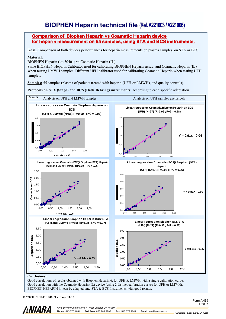### Comparison of Biophen Heparin vs Coamatic Heparin device for heparin measurement on 55 samples, using STA and BCS instruments.

Goal: Comparison of both devices performances for heparin measurements on plasma samples, on STA or BCS.

#### Material:

BIOPHEN Heparin (lot 30401) vs Coamatic Heparin (IL).

Same BIOPHEN Heparin Calibrator used for calibrating BIOPHEN Heparin assay, and Coamatic Heparin (IL) when testing LMWH samples. Different UFH calibrator used for calibrating Coamatic Heparin when testing UFH samples.

Samples: 55 samples (plasma of patients treated with heparin (UFH or LMWH), and quality controls).

Protocols on STA (Stago) and BCS (Dade Behring) instruments: according to each specific adaptation.



#### Conclusions :

Good correlations of results obtained with Biophen Heparin 6, for UFH & LMWH with a single calibration curve. Good correlation with the Coamatic Heparin (IL) device (using 2 distinct calibration curves for UFH or LMWH). BIOPHEN HEPARIN kit can be adapted onto STA & BCS Instruments, with good results.

D.750.30/BI/1003/1006 /1 - Page 11/13

*LNIARA* 

7768 Service Center Drive · West Chester OH 45069 Phone: 513.770.1991 Toll Free: 866.783.3797 Fax: 513.573.9241 Form AH39 4-2007

Email: info@aniara.com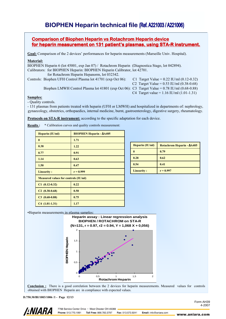### Comparison of Biophen Heparin vs Rotachrom Heparin device for heparin measurement on 131 patient's plasmas, using STA-R instrument.

Goal: Comparison of the 2 devices' performances for heparin measurements (Marseille Univ. Hospital).

#### Material:

BIOPHEN Heparin 6 (lot 45001, exp Jan 07) / Rotachrom Heparin (Diagnostica Stago, lot 042894). Calibrators: for BIOPHEN Heparin: BIOPHEN Heparin Calibrator, lot 42701.

for Rotachrom Heparin Hepanorm, lot 032342.

Controls: Biophen UFH Control Plasma lot 41701 (exp Oct 06): C1 Target Value = 0.22 IU/ml (0.12-0.32)

C2 Target Value =  $0.53$  IU/ml  $(0.38-0.68)$ 

Biophen LMWH Control Plasma lot 41801 (exp Oct 06): C3 Target Value = 0.78 IU/ml (0.68-0.88)

C4 Target value = 1.16 IU/ml (1.01-1.31)

#### Samples:

- Quality controls.

- 131 plasmas from patients treated with heparin (UFH or LMWH) and hospitalized in departments of: nephrology, gynaecology, obstetrics, orthopaedics, internal medicine, burnt, gastroenterology, digestive surgery, rheumatology.

Protocols on STA-R instrument: according to the specific adaptation for each device.

Results : \* Calibration curves and quality controls measurement:

| Heparin (IU/ml)                             | <b>BIOPHEN Heparin - AA405</b> |  |
|---------------------------------------------|--------------------------------|--|
| $\bf{0}$                                    | 1.71                           |  |
| 0.38                                        | 1.22                           |  |
| 0.77                                        | 0.91                           |  |
| 1.14                                        | 0.63                           |  |
| 1.50                                        | 0.47                           |  |
| <b>Linearity:</b>                           | $r = 0.999$                    |  |
| <b>Measured values for controls (IU/ml)</b> |                                |  |
| $C1$ (0.12-0.32)                            | 0.22                           |  |
| $C2(0.38-0.68)$                             | 0.50                           |  |
| $C3$ (0.68-0.88)                            | 0.75                           |  |
| $C4(1.01-1.31)$                             | 1.17                           |  |

| Heparin (IU/ml)   | Rotachrom Heparin - ∆A405 |  |
|-------------------|---------------------------|--|
| 0                 | 0.79                      |  |
| 0.28              | 0.62                      |  |
| 0.54              | 0.41                      |  |
| <b>Linearity:</b> | $r = 0.997$               |  |

•Heparin measurements in plasma samples:



Conclusion : There is a good correlation between the 2 devices for heparin measurements. Measured values for controls obtained with BIOPHEN Heparin are in compliance with expected values.

D.750.30/BI/1003/1006 /1 - Page 12/13